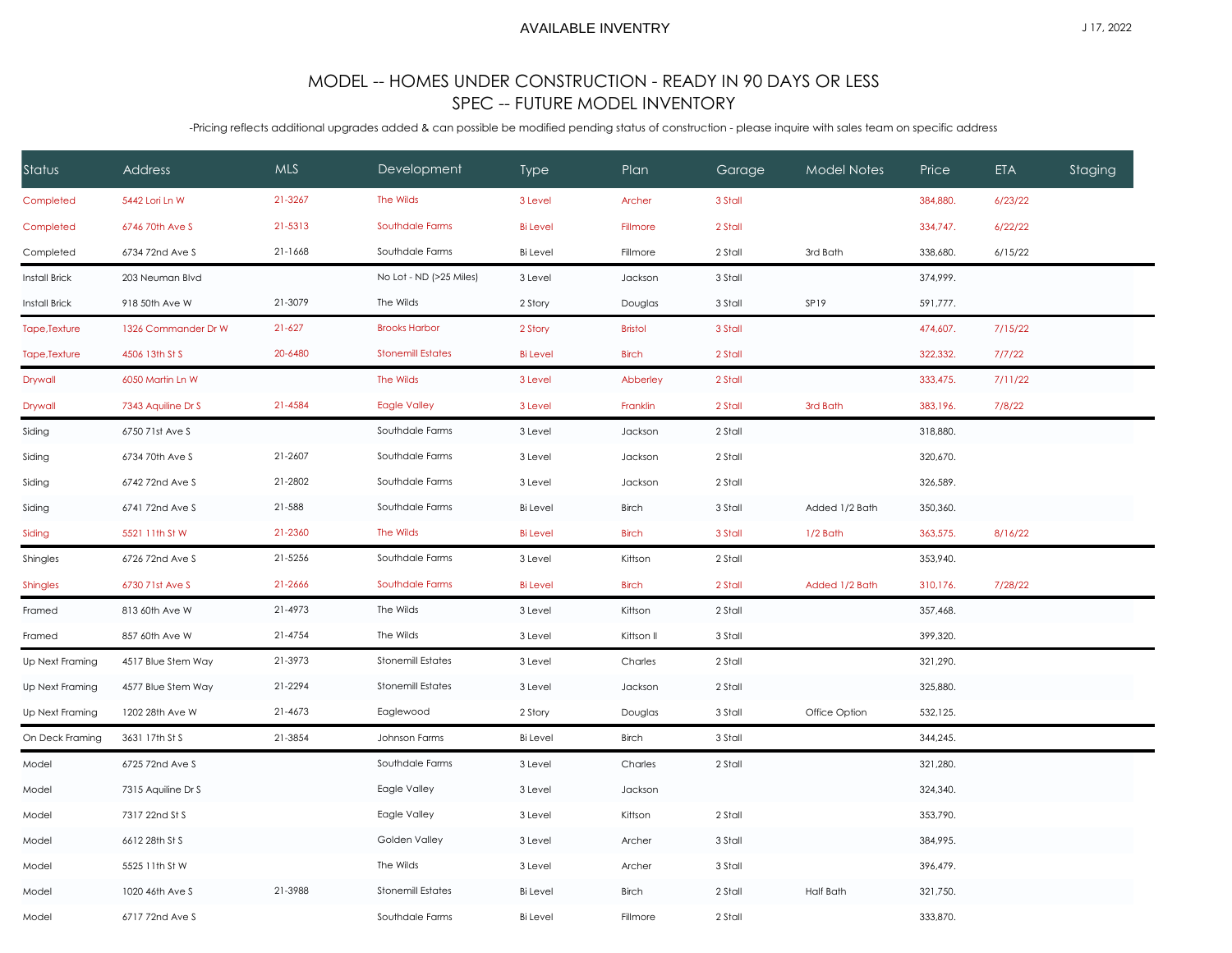## AVAILABLE INVENTRY

## MODEL -- HOMES UNDER CONSTRUCTION - READY IN 90 DAYS OR LESS SPEC -- FUTURE MODEL INVENTORY

-Pricing reflects additional upgrades added & can possible be modified pending status of construction - please inquire with sales team on specific address

| Status               | <b>Address</b>      | <b>MLS</b> | Development              | <b>Type</b>     | Plan           | Garage  | Model Notes      | Price    | ETA     | <b>Staging</b> |
|----------------------|---------------------|------------|--------------------------|-----------------|----------------|---------|------------------|----------|---------|----------------|
| Completed            | 5442 Lori Ln W      | 21-3267    | The Wilds                | 3 Level         | Archer         | 3 Stall |                  | 384,880. | 6/23/22 |                |
| Completed            | 6746 70th Ave S     | 21-5313    | Southdale Farms          | <b>Bi</b> Level | Fillmore       | 2 Stall |                  | 334,747. | 6/22/22 |                |
| Completed            | 6734 72nd Ave S     | 21-1668    | Southdale Farms          | <b>Bi</b> Level | Fillmore       | 2 Stall | 3rd Bath         | 338,680. | 6/15/22 |                |
| <b>Install Brick</b> | 203 Neuman Blvd     |            | No Lot - ND (>25 Miles)  | 3 Level         | Jackson        | 3 Stall |                  | 374,999. |         |                |
| <b>Install Brick</b> | 918 50th Ave W      | 21-3079    | The Wilds                | 2 Story         | Douglas        | 3 Stall | SP19             | 591,777. |         |                |
| Tape, Texture        | 1326 Commander Dr W | $21 - 627$ | <b>Brooks Harbor</b>     | 2 Story         | <b>Bristol</b> | 3 Stall |                  | 474,607. | 7/15/22 |                |
| Tape, Texture        | 4506 13th St S      | 20-6480    | <b>Stonemill Estates</b> | <b>Bi</b> Level | <b>Birch</b>   | 2 Stall |                  | 322,332. | 7/7/22  |                |
| Drywall              | 6050 Martin Ln W    |            | The Wilds                | 3 Level         | Abberley       | 2 Stall |                  | 333,475. | 7/11/22 |                |
| Drywall              | 7343 Aquiline Dr S  | 21-4584    | <b>Eagle Valley</b>      | 3 Level         | Franklin       | 2 Stall | 3rd Bath         | 383,196. | 7/8/22  |                |
| Siding               | 6750 71st Ave S     |            | Southdale Farms          | 3 Level         | Jackson        | 2 Stall |                  | 318,880. |         |                |
| Siding               | 6734 70th Ave S     | 21-2607    | Southdale Farms          | 3 Level         | Jackson        | 2 Stall |                  | 320,670. |         |                |
| Siding               | 6742 72nd Ave S     | 21-2802    | Southdale Farms          | 3 Level         | Jackson        | 2 Stall |                  | 326,589. |         |                |
| Siding               | 6741 72nd Ave S     | 21-588     | Southdale Farms          | <b>Bi</b> Level | <b>Birch</b>   | 3 Stall | Added 1/2 Bath   | 350,360. |         |                |
| Siding               | 5521 11th St W      | 21-2360    | The Wilds                | <b>Bi</b> Level | <b>Birch</b>   | 3 Stall | $1/2$ Bath       | 363,575. | 8/16/22 |                |
| Shingles             | 6726 72nd Ave S     | 21-5256    | Southdale Farms          | 3 Level         | Kittson        | 2 Stall |                  | 353,940. |         |                |
| <b>Shingles</b>      | 6730 71st Ave S     | 21-2666    | Southdale Farms          | <b>Bi</b> Level | <b>Birch</b>   | 2 Stall | Added 1/2 Bath   | 310,176. | 7/28/22 |                |
| Framed               | 813 60th Ave W      | 21-4973    | The Wilds                | 3 Level         | Kittson        | 2 Stall |                  | 357,468. |         |                |
| Framed               | 857 60th Ave W      | 21-4754    | The Wilds                | 3 Level         | Kittson II     | 3 Stall |                  | 399,320. |         |                |
| Up Next Framing      | 4517 Blue Stem Way  | 21-3973    | <b>Stonemill Estates</b> | 3 Level         | Charles        | 2 Stall |                  | 321,290. |         |                |
| Up Next Framing      | 4577 Blue Stem Way  | 21-2294    | <b>Stonemill Estates</b> | 3 Level         | Jackson        | 2 Stall |                  | 325,880. |         |                |
| Up Next Framing      | 1202 28th Ave W     | 21-4673    | Eaglewood                | 2 Story         | Douglas        | 3 Stall | Office Option    | 532,125. |         |                |
| On Deck Framing      | 3631 17th St S      | 21-3854    | Johnson Farms            | <b>Bi</b> Level | <b>Birch</b>   | 3 Stall |                  | 344,245. |         |                |
| Model                | 6725 72nd Ave S     |            | Southdale Farms          | 3 Level         | Charles        | 2 Stall |                  | 321,280. |         |                |
| Model                | 7315 Aquiline Dr S  |            | Eagle Valley             | 3 Level         | Jackson        |         |                  | 324,340. |         |                |
| Model                | 7317 22nd St S      |            | Eagle Valley             | 3 Level         | Kittson        | 2 Stall |                  | 353,790. |         |                |
| Model                | 6612 28th St S      |            | Golden Valley            | 3 Level         | Archer         | 3 Stall |                  | 384,995. |         |                |
| Model                | 5525 11th St W      |            | The Wilds                | 3 Level         | Archer         | 3 Stall |                  | 396,479. |         |                |
| Model                | 1020 46th Ave S     | 21-3988    | <b>Stonemill Estates</b> | <b>Bi</b> Level | <b>Birch</b>   | 2 Stall | <b>Half Bath</b> | 321,750. |         |                |
| Model                | 6717 72nd Ave S     |            | Southdale Farms          | <b>Bi</b> Level | Fillmore       | 2 Stall |                  | 333,870. |         |                |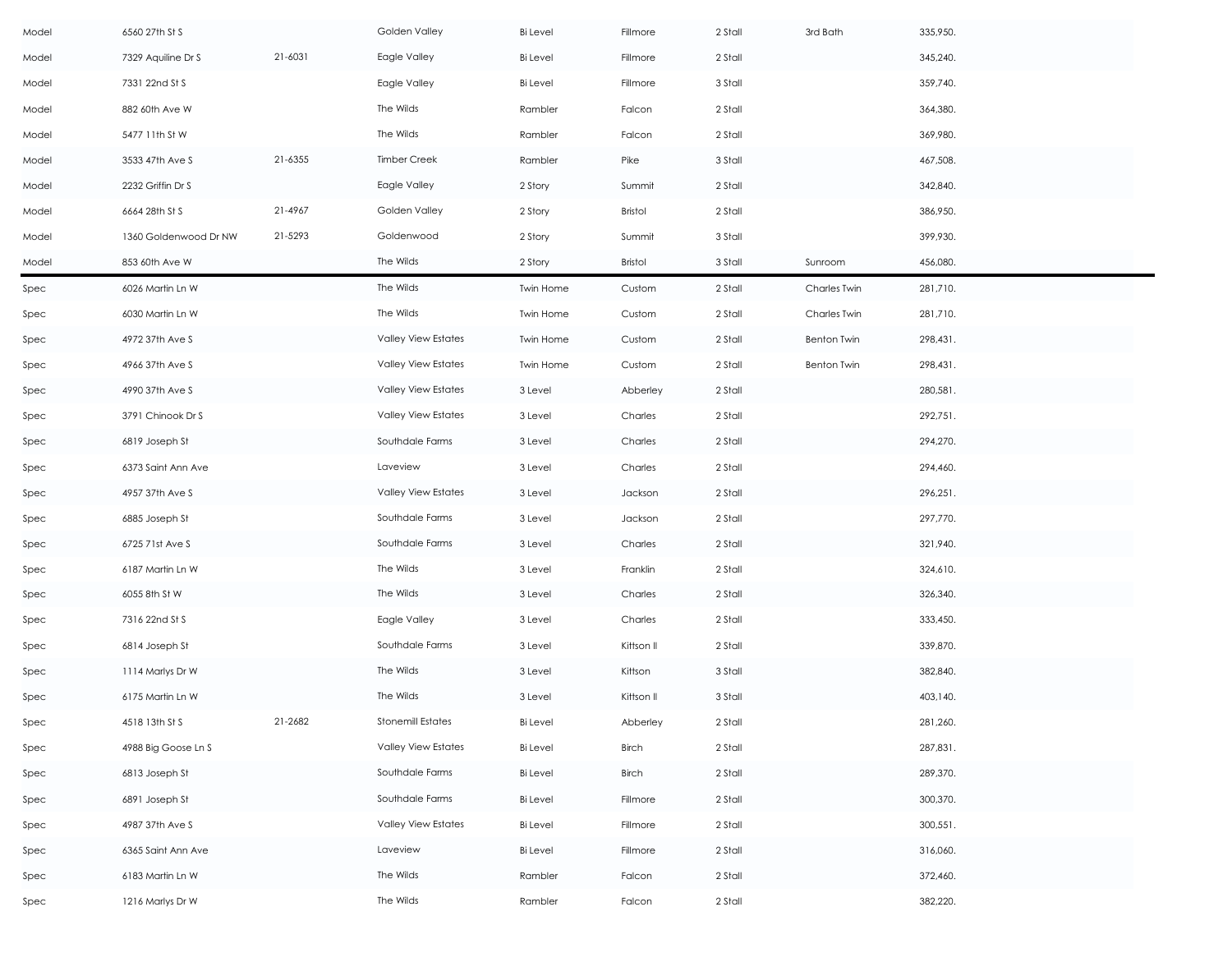| Model | 6560 27th St S        |         | Golden Valley              | <b>Bi</b> Level | Fillmore       | 2 Stall | 3rd Bath           | 335,950. |
|-------|-----------------------|---------|----------------------------|-----------------|----------------|---------|--------------------|----------|
| Model | 7329 Aquiline Dr S    | 21-6031 | Eagle Valley               | <b>Bi</b> Level | Fillmore       | 2 Stall |                    | 345,240. |
| Model | 7331 22nd St S        |         | Eagle Valley               | <b>Bi</b> Level | Fillmore       | 3 Stall |                    | 359,740. |
| Model | 882 60th Ave W        |         | The Wilds                  | Rambler         | Falcon         | 2 Stall |                    | 364,380. |
| Model | 5477 11th St W        |         | The Wilds                  | Rambler         | Falcon         | 2 Stall |                    | 369,980. |
| Model | 3533 47th Ave S       | 21-6355 | <b>Timber Creek</b>        | Rambler         | Pike           | 3 Stall |                    | 467,508. |
| Model | 2232 Griffin Dr S     |         | Eagle Valley               | 2 Story         | Summit         | 2 Stall |                    | 342,840. |
| Model | 6664 28th St S        | 21-4967 | Golden Valley              | 2 Story         | <b>Bristol</b> | 2 Stall |                    | 386,950. |
| Model | 1360 Goldenwood Dr NW | 21-5293 | Goldenwood                 | 2 Story         | Summit         | 3 Stall |                    | 399,930. |
| Model | 853 60th Ave W        |         | The Wilds                  | 2 Story         | <b>Bristol</b> | 3 Stall | Sunroom            | 456,080. |
| Spec  | 6026 Martin Ln W      |         | The Wilds                  | Twin Home       | Custom         | 2 Stall | Charles Twin       | 281,710. |
| Spec  | 6030 Martin Ln W      |         | The Wilds                  | Twin Home       | Custom         | 2 Stall | Charles Twin       | 281,710. |
| Spec  | 4972 37th Ave S       |         | Valley View Estates        | Twin Home       | Custom         | 2 Stall | <b>Benton Twin</b> | 298,431. |
| Spec  | 4966 37th Ave S       |         | Valley View Estates        | Twin Home       | Custom         | 2 Stall | Benton Twin        | 298,431. |
| Spec  | 4990 37th Ave S       |         | Valley View Estates        | 3 Level         | Abberley       | 2 Stall |                    | 280,581. |
| Spec  | 3791 Chinook Dr S     |         | Valley View Estates        | 3 Level         | Charles        | 2 Stall |                    | 292,751. |
| Spec  | 6819 Joseph St        |         | Southdale Farms            | 3 Level         | Charles        | 2 Stall |                    | 294,270. |
| Spec  | 6373 Saint Ann Ave    |         | Laveview                   | 3 Level         | Charles        | 2 Stall |                    | 294,460. |
| Spec  | 4957 37th Ave S       |         | Valley View Estates        | 3 Level         | Jackson        | 2 Stall |                    | 296,251. |
| Spec  | 6885 Joseph St        |         | Southdale Farms            | 3 Level         | Jackson        | 2 Stall |                    | 297,770. |
| Spec  | 6725 71st Ave S       |         | Southdale Farms            | 3 Level         | Charles        | 2 Stall |                    | 321,940. |
| Spec  | 6187 Martin Ln W      |         | The Wilds                  | 3 Level         | Franklin       | 2 Stall |                    | 324,610. |
| Spec  | 6055 8th St W         |         | The Wilds                  | 3 Level         | Charles        | 2 Stall |                    | 326,340. |
| Spec  | 7316 22nd St S        |         | Eagle Valley               | 3 Level         | Charles        | 2 Stall |                    | 333,450. |
| Spec  | 6814 Joseph St        |         | Southdale Farms            | 3 Level         | Kittson II     | 2 Stall |                    | 339,870. |
| Spec  | 1114 Marlys Dr W      |         | The Wilds                  | 3 Level         | Kittson        | 3 Stall |                    | 382,840. |
| Spec  | 6175 Martin Ln W      |         | The Wilds                  | 3 Level         | Kittson II     | 3 Stall |                    | 403,140. |
| Spec  | 4518 13th St S        | 21-2682 | <b>Stonemill Estates</b>   | Bi Level        | Abberley       | 2 Stall |                    | 281,260. |
| Spec  | 4988 Big Goose Ln S   |         | Valley View Estates        | Bi Level        | Birch          | 2 Stall |                    | 287,831. |
| Spec  | 6813 Joseph St        |         | Southdale Farms            | Bi Level        | Birch          | 2 Stall |                    | 289,370. |
| Spec  | 6891 Joseph St        |         | Southdale Farms            | <b>Bi</b> Level | Fillmore       | 2 Stall |                    | 300,370. |
| Spec  | 4987 37th Ave S       |         | <b>Valley View Estates</b> | <b>Bi</b> Level | Fillmore       | 2 Stall |                    | 300,551. |
| Spec  | 6365 Saint Ann Ave    |         | Laveview                   | <b>Bi</b> Level | Fillmore       | 2 Stall |                    | 316,060. |
| Spec  | 6183 Martin Ln W      |         | The Wilds                  | Rambler         | Falcon         | 2 Stall |                    | 372,460. |
| Spec  | 1216 Marlys Dr W      |         | The Wilds                  | Rambler         | Falcon         | 2 Stall |                    | 382,220. |